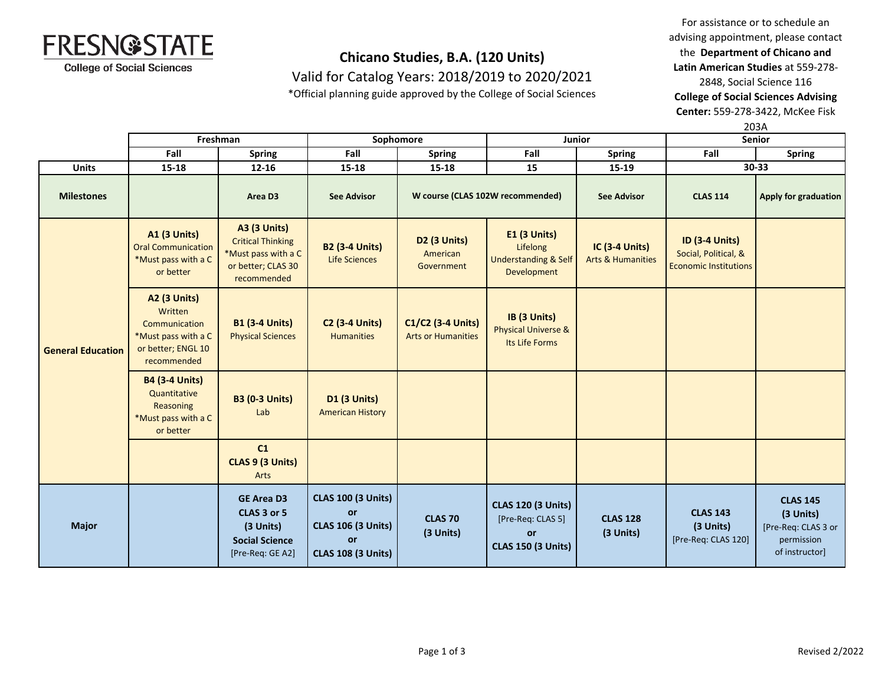

Valid for Catalog Years: 2018/2019 to 2020/2021

\*Official planning guide approved by the College of Social Sciences

For assistance or to schedule an advising appointment, please contact the **Department of Chicano and Latin American Studies** at 559-278-

2848, Social Science 116

**College of Social Sciences Advising** 

**Center:** 559-278-3422, McKee Fisk

203A

|                          | Freshman                                                                                                    |                                                                                                             | Sophomore                                                                                              |                                                | Junior                                                                                   |                                                       | <b>Senior</b>                                                                 |                                                                                     |
|--------------------------|-------------------------------------------------------------------------------------------------------------|-------------------------------------------------------------------------------------------------------------|--------------------------------------------------------------------------------------------------------|------------------------------------------------|------------------------------------------------------------------------------------------|-------------------------------------------------------|-------------------------------------------------------------------------------|-------------------------------------------------------------------------------------|
|                          | Fall                                                                                                        | <b>Spring</b>                                                                                               | Fall                                                                                                   | <b>Spring</b>                                  | Fall                                                                                     | <b>Spring</b>                                         | Fall                                                                          | <b>Spring</b>                                                                       |
| <b>Units</b>             | 15-18                                                                                                       | $12 - 16$                                                                                                   | 15-18                                                                                                  | 15-18                                          | 15                                                                                       | 15-19                                                 |                                                                               | 30-33                                                                               |
| <b>Milestones</b>        |                                                                                                             | Area D3                                                                                                     | <b>See Advisor</b>                                                                                     |                                                | W course (CLAS 102W recommended)                                                         | <b>See Advisor</b>                                    | <b>CLAS 114</b>                                                               | <b>Apply for graduation</b>                                                         |
| <b>General Education</b> | <b>A1 (3 Units)</b><br><b>Oral Communication</b><br>*Must pass with a C<br>or better                        | <b>A3 (3 Units)</b><br><b>Critical Thinking</b><br>*Must pass with a C<br>or better; CLAS 30<br>recommended | <b>B2 (3-4 Units)</b><br><b>Life Sciences</b>                                                          | D2 (3 Units)<br>American<br>Government         | <b>E1 (3 Units)</b><br>Lifelong<br><b>Understanding &amp; Self</b><br>Development        | <b>IC (3-4 Units)</b><br><b>Arts &amp; Humanities</b> | <b>ID (3-4 Units)</b><br>Social, Political, &<br><b>Economic Institutions</b> |                                                                                     |
|                          | <b>A2 (3 Units)</b><br>Written<br>Communication<br>*Must pass with a C<br>or better; ENGL 10<br>recommended | <b>B1 (3-4 Units)</b><br><b>Physical Sciences</b>                                                           | <b>C2 (3-4 Units)</b><br><b>Humanities</b>                                                             | C1/C2 (3-4 Units)<br><b>Arts or Humanities</b> | IB (3 Units)<br><b>Physical Universe &amp;</b><br>Its Life Forms                         |                                                       |                                                                               |                                                                                     |
|                          | <b>B4 (3-4 Units)</b><br>Quantitative<br>Reasoning<br>*Must pass with a C<br>or better                      | <b>B3 (0-3 Units)</b><br>Lab                                                                                | <b>D1 (3 Units)</b><br><b>American History</b>                                                         |                                                |                                                                                          |                                                       |                                                                               |                                                                                     |
|                          |                                                                                                             | C1<br>CLAS 9 (3 Units)<br>Arts                                                                              |                                                                                                        |                                                |                                                                                          |                                                       |                                                                               |                                                                                     |
| <b>Major</b>             |                                                                                                             | <b>GE Area D3</b><br>CLAS 3 or 5<br>(3 Units)<br><b>Social Science</b><br>[Pre-Req: GE A2]                  | <b>CLAS 100 (3 Units)</b><br><b>or</b><br><b>CLAS 106 (3 Units)</b><br>or<br><b>CLAS 108 (3 Units)</b> | <b>CLAS 70</b><br>(3 Units)                    | <b>CLAS 120 (3 Units)</b><br>[Pre-Req: CLAS 5]<br><b>or</b><br><b>CLAS 150 (3 Units)</b> | <b>CLAS 128</b><br>(3 Units)                          | <b>CLAS 143</b><br>(3 Units)<br>[Pre-Req: CLAS 120]                           | <b>CLAS 145</b><br>(3 Units)<br>[Pre-Req: CLAS 3 or<br>permission<br>of instructor] |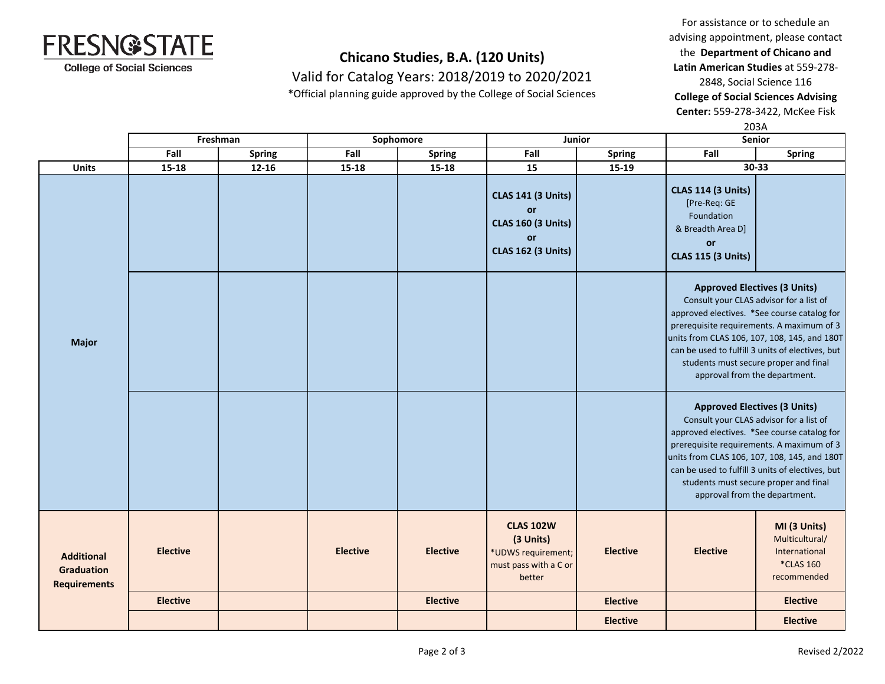

Valid for Catalog Years: 2018/2019 to 2020/2021

\*Official planning guide approved by the College of Social Sciences

For assistance or to schedule an advising appointment, please contact the **Department of Chicano and Latin American Studies** at 559-278-

2848, Social Science 116

**College of Social Sciences Advising** 

**Center:** 559-278-3422, McKee Fisk

203A

|                                                               |                 | Freshman      |                 | Sophomore                                                                                                                                                                                             |                                                                                                                                                 | Junior          | Senior                                                                                                                                                                                                |                                                                                                                                                 |
|---------------------------------------------------------------|-----------------|---------------|-----------------|-------------------------------------------------------------------------------------------------------------------------------------------------------------------------------------------------------|-------------------------------------------------------------------------------------------------------------------------------------------------|-----------------|-------------------------------------------------------------------------------------------------------------------------------------------------------------------------------------------------------|-------------------------------------------------------------------------------------------------------------------------------------------------|
|                                                               | Fall            | <b>Spring</b> | Fall            | <b>Spring</b>                                                                                                                                                                                         | Fall                                                                                                                                            | <b>Spring</b>   | Fall                                                                                                                                                                                                  | <b>Spring</b>                                                                                                                                   |
| <b>Units</b>                                                  | $15 - 18$       | $12 - 16$     | 15-18           | $15 - 18$                                                                                                                                                                                             | 15                                                                                                                                              | 15-19           |                                                                                                                                                                                                       | $30 - 33$                                                                                                                                       |
|                                                               |                 |               |                 |                                                                                                                                                                                                       | <b>CLAS 141 (3 Units)</b><br><b>or</b><br><b>CLAS 160 (3 Units)</b><br>or<br><b>CLAS 162 (3 Units)</b>                                          |                 | <b>CLAS 114 (3 Units)</b><br>[Pre-Req: GE<br>Foundation<br>& Breadth Area D]<br>or<br><b>CLAS 115 (3 Units)</b>                                                                                       |                                                                                                                                                 |
| <b>Major</b>                                                  |                 |               |                 | <b>Approved Electives (3 Units)</b><br>Consult your CLAS advisor for a list of<br>prerequisite requirements. A maximum of 3<br>students must secure proper and final<br>approval from the department. | approved electives. *See course catalog for<br>units from CLAS 106, 107, 108, 145, and 180T<br>can be used to fulfill 3 units of electives, but |                 |                                                                                                                                                                                                       |                                                                                                                                                 |
|                                                               |                 |               |                 |                                                                                                                                                                                                       |                                                                                                                                                 |                 | <b>Approved Electives (3 Units)</b><br>Consult your CLAS advisor for a list of<br>prerequisite requirements. A maximum of 3<br>students must secure proper and final<br>approval from the department. | approved electives. *See course catalog for<br>units from CLAS 106, 107, 108, 145, and 180T<br>can be used to fulfill 3 units of electives, but |
| <b>Additional</b><br><b>Graduation</b><br><b>Requirements</b> | <b>Elective</b> |               | <b>Elective</b> | <b>Elective</b>                                                                                                                                                                                       | <b>CLAS 102W</b><br>(3 Units)<br>*UDWS requirement;<br>must pass with a C or<br>better                                                          | <b>Elective</b> | <b>Elective</b>                                                                                                                                                                                       | MI (3 Units)<br>Multicultural/<br>International<br><b>*CLAS 160</b><br>recommended                                                              |
|                                                               | <b>Elective</b> |               |                 | <b>Elective</b>                                                                                                                                                                                       |                                                                                                                                                 | <b>Elective</b> |                                                                                                                                                                                                       | <b>Elective</b>                                                                                                                                 |
|                                                               |                 |               |                 |                                                                                                                                                                                                       |                                                                                                                                                 | <b>Elective</b> |                                                                                                                                                                                                       | <b>Elective</b>                                                                                                                                 |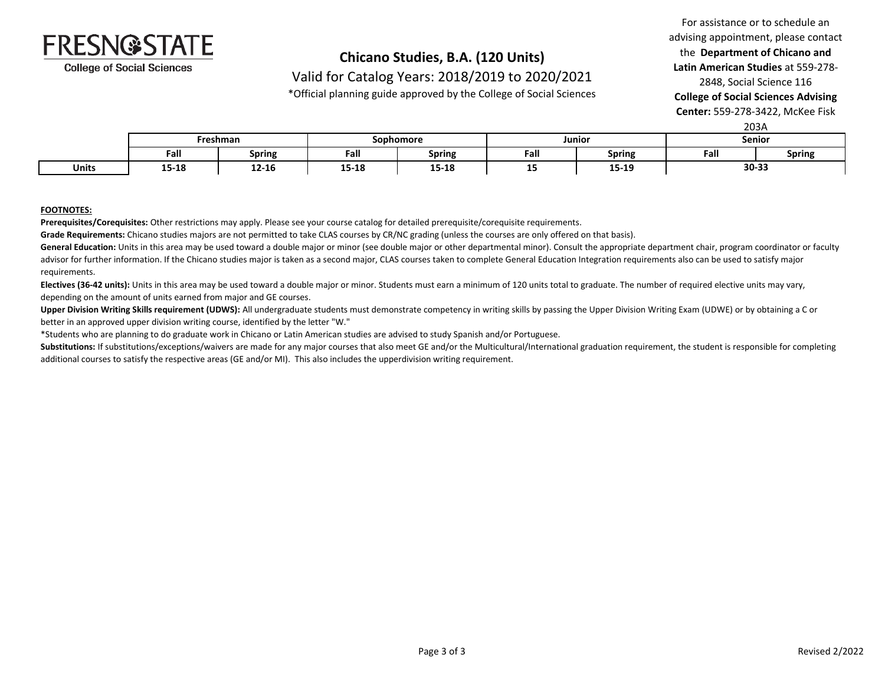

Valid for Catalog Years: 2018/2019 to 2020/2021

\*Official planning guide approved by the College of Social Sciences

### For assistance or to schedule an advising appointment, please contact the **Department of Chicano and Latin American Studies** at 559-278- 2848, Social Science 116

**College of Social Sciences Advising** 

**Center:** 559-278-3422, McKee Fisk  $203<sub>A</sub>$ 

|              |                       | ----          |           |               |        |               |        |               |
|--------------|-----------------------|---------------|-----------|---------------|--------|---------------|--------|---------------|
|              | Freshman              |               | Sophomore |               | Junior |               | Senior |               |
|              | Fall                  | <b>Spring</b> | Fall      | <b>Spring</b> | Fall   | <b>Spring</b> | Fall   | <b>Spring</b> |
| <b>Units</b> | <b>1F 10</b><br>T2-T0 | 12-16         | 15-18     | - 10<br>סד-כד | --     | 15-19         | 30-33  |               |

#### **FOOTNOTES:**

**Prerequisites/Corequisites:** Other restrictions may apply. Please see your course catalog for detailed prerequisite/corequisite requirements.

**Grade Requirements:** Chicano studies majors are not permitted to take CLAS courses by CR/NC grading (unless the courses are only offered on that basis).

General Education: Units in this area may be used toward a double major or minor (see double major or other departmental minor). Consult the appropriate department chair, program coordinator or faculty advisor for further information. If the Chicano studies major is taken as a second major, CLAS courses taken to complete General Education Integration requirements also can be used to satisfy major requirements.

**Electives (36-42 units):** Units in this area may be used toward a double major or minor. Students must earn a minimum of 120 units total to graduate. The number of required elective units may vary, depending on the amount of units earned from major and GE courses.

**Upper Division Writing Skills requirement (UDWS):** All undergraduate students must demonstrate competency in writing skills by passing the Upper Division Writing Exam (UDWE) or by obtaining a C or better in an approved upper division writing course, identified by the letter "W."

\*Students who are planning to do graduate work in Chicano or Latin American studies are advised to study Spanish and/or Portuguese.

Substitutions: If substitutions/exceptions/waivers are made for any major courses that also meet GE and/or the Multicultural/International graduation requirement, the student is responsible for completing additional courses to satisfy the respective areas (GE and/or MI). This also includes the upperdivision writing requirement.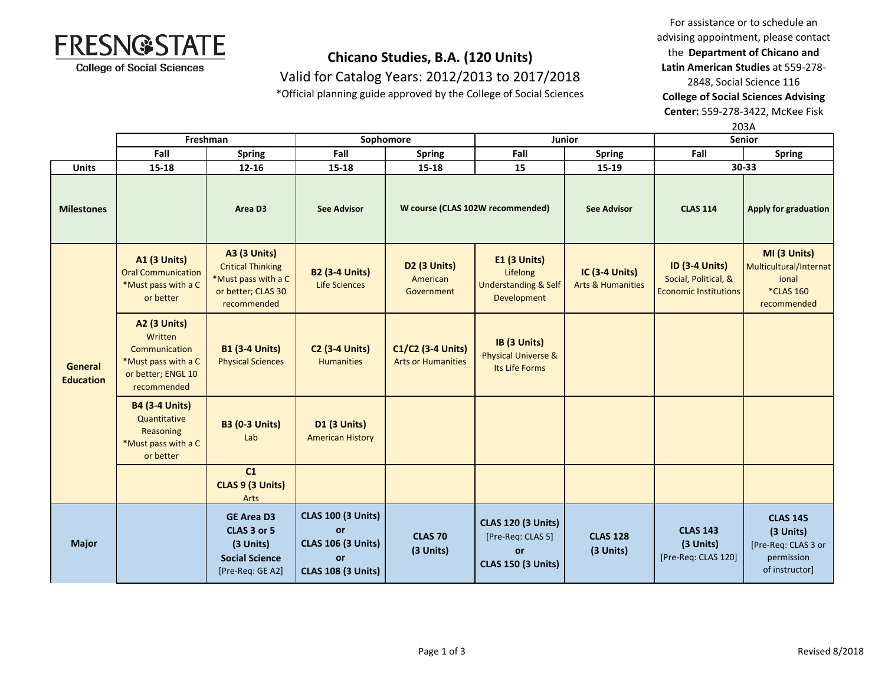

Valid for Catalog Years: 2012/2013 to 2017/2018

\*Official planning guide approved by the College of Social Sciences

For assistance or to schedule an advising appointment, please contact the **Department of Chicano and Latin American Studies** at 559-278- 2848, Social Science 116 **College of Social Sciences Advising** 

**Center:** 559-278-3422, McKee Fisk

|                                    |                                                                                                             |                                                                                                             |                                                                                                 |                                                |                                                                                          |                                                       |                                                                               | 203A                                                                                |
|------------------------------------|-------------------------------------------------------------------------------------------------------------|-------------------------------------------------------------------------------------------------------------|-------------------------------------------------------------------------------------------------|------------------------------------------------|------------------------------------------------------------------------------------------|-------------------------------------------------------|-------------------------------------------------------------------------------|-------------------------------------------------------------------------------------|
|                                    | Freshman                                                                                                    |                                                                                                             | Sophomore                                                                                       |                                                | Junior                                                                                   |                                                       | <b>Senior</b>                                                                 |                                                                                     |
|                                    | Fall                                                                                                        | <b>Spring</b>                                                                                               | Fall                                                                                            | <b>Spring</b>                                  | Fall                                                                                     | <b>Spring</b>                                         | Fall                                                                          | <b>Spring</b>                                                                       |
| <b>Units</b>                       | $15 - 18$                                                                                                   | $12 - 16$                                                                                                   | 15-18                                                                                           | $15 - 18$                                      | 15                                                                                       | 15-19                                                 |                                                                               | $30 - 33$                                                                           |
| <b>Milestones</b>                  |                                                                                                             | Area D <sub>3</sub>                                                                                         | <b>See Advisor</b>                                                                              |                                                | W course (CLAS 102W recommended)                                                         | <b>See Advisor</b>                                    | <b>CLAS 114</b>                                                               | <b>Apply for graduation</b>                                                         |
| <b>General</b><br><b>Education</b> | <b>A1 (3 Units)</b><br><b>Oral Communication</b><br>*Must pass with a C<br>or better                        | <b>A3 (3 Units)</b><br><b>Critical Thinking</b><br>*Must pass with a C<br>or better; CLAS 30<br>recommended | <b>B2 (3-4 Units)</b><br>Life Sciences                                                          | D2 (3 Units)<br>American<br>Government         | <b>E1 (3 Units)</b><br>Lifelong<br><b>Understanding &amp; Self</b><br>Development        | <b>IC (3-4 Units)</b><br><b>Arts &amp; Humanities</b> | <b>ID (3-4 Units)</b><br>Social, Political, &<br><b>Economic Institutions</b> | MI (3 Units)<br>Multicultural/Internat<br>ional<br><b>*CLAS 160</b><br>recommended  |
|                                    | <b>A2 (3 Units)</b><br>Written<br>Communication<br>*Must pass with a C<br>or better; ENGL 10<br>recommended | <b>B1 (3-4 Units)</b><br><b>Physical Sciences</b>                                                           | <b>C2 (3-4 Units)</b><br><b>Humanities</b>                                                      | C1/C2 (3-4 Units)<br><b>Arts or Humanities</b> | IB (3 Units)<br><b>Physical Universe &amp;</b><br>Its Life Forms                         |                                                       |                                                                               |                                                                                     |
|                                    | <b>B4 (3-4 Units)</b><br>Quantitative<br>Reasoning<br>*Must pass with a C<br>or better                      | <b>B3 (0-3 Units)</b><br>Lab                                                                                | D1 (3 Units)<br><b>American History</b>                                                         |                                                |                                                                                          |                                                       |                                                                               |                                                                                     |
|                                    |                                                                                                             | C1<br>CLAS 9 (3 Units)<br>Arts                                                                              |                                                                                                 |                                                |                                                                                          |                                                       |                                                                               |                                                                                     |
| <b>Major</b>                       |                                                                                                             | <b>GE Area D3</b><br>CLAS 3 or 5<br>(3 Units)<br><b>Social Science</b><br>[Pre-Req: GE A2]                  | <b>CLAS 100 (3 Units)</b><br>or<br><b>CLAS 106 (3 Units)</b><br>or<br><b>CLAS 108 (3 Units)</b> | <b>CLAS 70</b><br>(3 Units)                    | <b>CLAS 120 (3 Units)</b><br>[Pre-Req: CLAS 5]<br><b>or</b><br><b>CLAS 150 (3 Units)</b> | <b>CLAS 128</b><br>(3 Units)                          | <b>CLAS 143</b><br>(3 Units)<br>[Pre-Req: CLAS 120]                           | <b>CLAS 145</b><br>(3 Units)<br>[Pre-Req: CLAS 3 or<br>permission<br>of instructor] |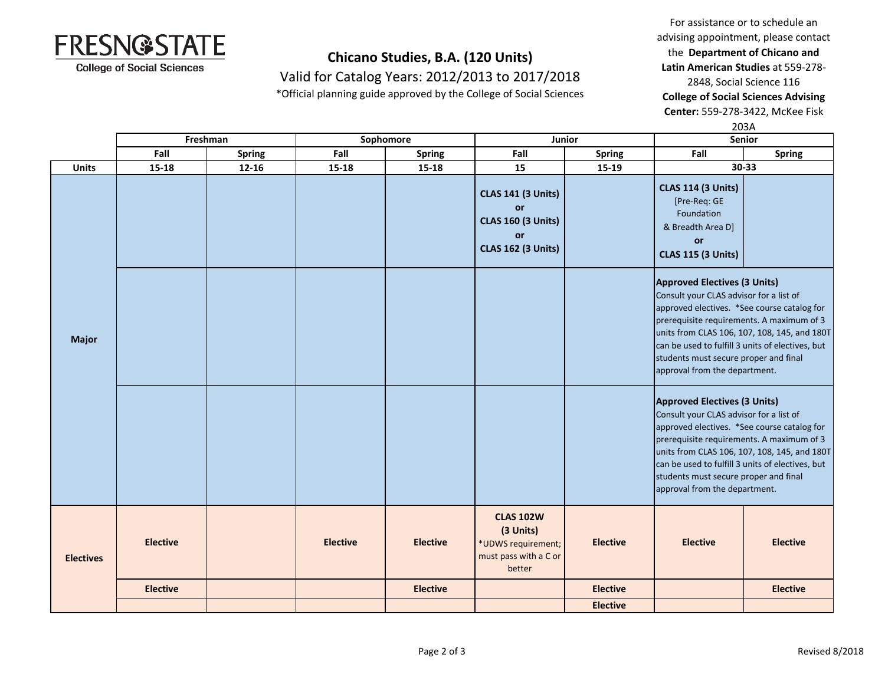

Valid for Catalog Years: 2012/2013 to 2017/2018

\*Official planning guide approved by the College of Social Sciences

For assistance or to schedule an advising appointment, please contact the **Department of Chicano and Latin American Studies** at 559-278- 2848, Social Science 116 **College of Social Sciences Advising** 

**Center:** 559-278-3422, McKee Fisk

|                  |                 |               |                 |                 |                                                                                                               | 203A            |                                                                                                                                                                                                                                                                                                                                                          |                 |
|------------------|-----------------|---------------|-----------------|-----------------|---------------------------------------------------------------------------------------------------------------|-----------------|----------------------------------------------------------------------------------------------------------------------------------------------------------------------------------------------------------------------------------------------------------------------------------------------------------------------------------------------------------|-----------------|
|                  | Freshman        |               | Sophomore       |                 | Junior                                                                                                        |                 | Senior                                                                                                                                                                                                                                                                                                                                                   |                 |
|                  | Fall            | <b>Spring</b> | Fall            | <b>Spring</b>   | Fall                                                                                                          | <b>Spring</b>   | Fall                                                                                                                                                                                                                                                                                                                                                     | <b>Spring</b>   |
| <b>Units</b>     | $15 - 18$       | $12 - 16$     | 15-18           | $15 - 18$       | 15                                                                                                            | 15-19           |                                                                                                                                                                                                                                                                                                                                                          | 30-33           |
| <b>Major</b>     |                 |               |                 |                 | <b>CLAS 141 (3 Units)</b><br><b>or</b><br><b>CLAS 160 (3 Units)</b><br><b>or</b><br><b>CLAS 162 (3 Units)</b> |                 | <b>CLAS 114 (3 Units)</b><br>[Pre-Req: GE<br>Foundation<br>& Breadth Area D]<br>or<br><b>CLAS 115 (3 Units)</b>                                                                                                                                                                                                                                          |                 |
|                  |                 |               |                 |                 |                                                                                                               |                 | <b>Approved Electives (3 Units)</b><br>Consult your CLAS advisor for a list of<br>approved electives. *See course catalog for<br>prerequisite requirements. A maximum of 3<br>units from CLAS 106, 107, 108, 145, and 180T<br>can be used to fulfill 3 units of electives, but<br>students must secure proper and final<br>approval from the department. |                 |
|                  |                 |               |                 |                 |                                                                                                               |                 | <b>Approved Electives (3 Units)</b><br>Consult your CLAS advisor for a list of<br>approved electives. *See course catalog for<br>prerequisite requirements. A maximum of 3<br>units from CLAS 106, 107, 108, 145, and 180T<br>can be used to fulfill 3 units of electives, but<br>students must secure proper and final<br>approval from the department. |                 |
| <b>Electives</b> | <b>Elective</b> |               | <b>Elective</b> | <b>Elective</b> | <b>CLAS 102W</b><br>(3 Units)<br>*UDWS requirement;<br>must pass with a C or<br>better                        | <b>Elective</b> | <b>Elective</b>                                                                                                                                                                                                                                                                                                                                          | <b>Elective</b> |
|                  | <b>Elective</b> |               |                 | <b>Elective</b> |                                                                                                               | <b>Elective</b> |                                                                                                                                                                                                                                                                                                                                                          | <b>Elective</b> |
|                  |                 |               |                 |                 |                                                                                                               | <b>Elective</b> |                                                                                                                                                                                                                                                                                                                                                          |                 |